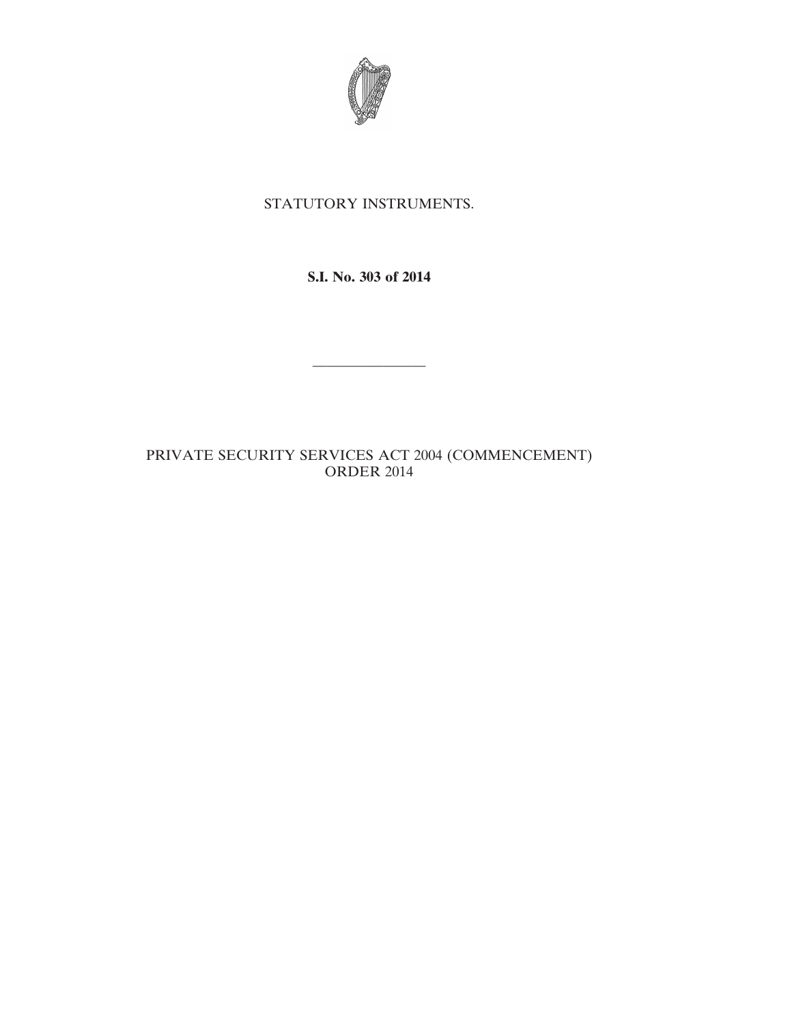

## STATUTORY INSTRUMENTS.

**S.I. No. 303 of 2014**

————————

## PRIVATE SECURITY SERVICES ACT 2004 (COMMENCEMENT) ORDER 2014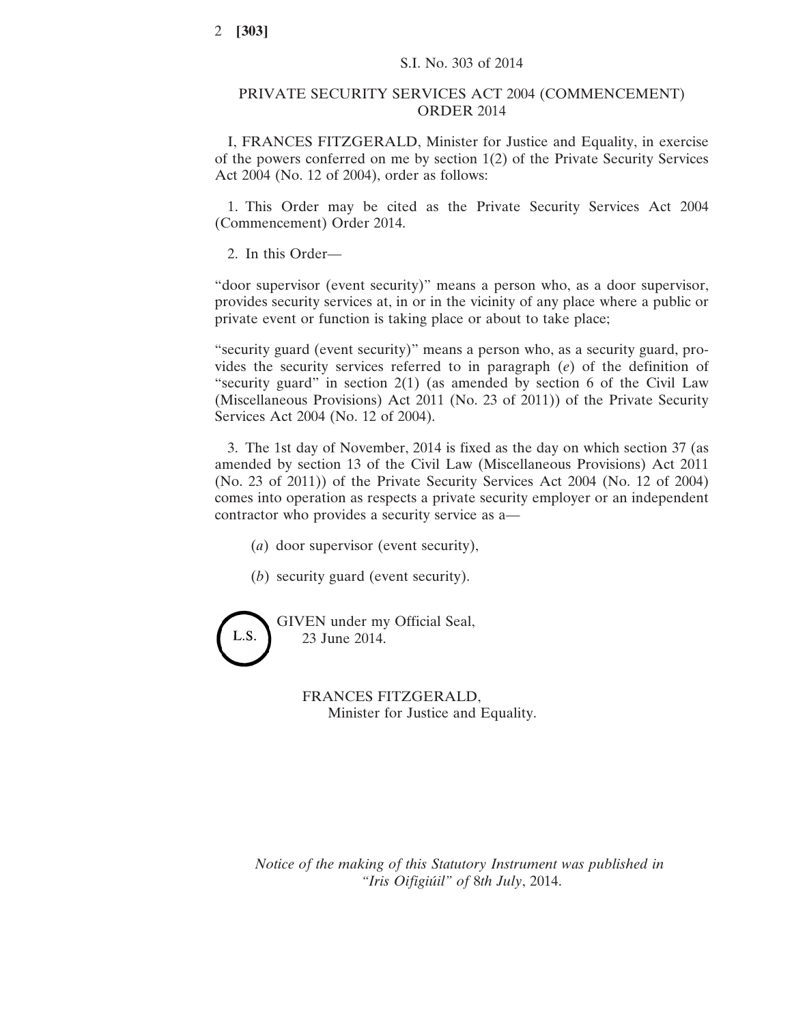## PRIVATE SECURITY SERVICES ACT 2004 (COMMENCEMENT) ORDER 2014

I, FRANCES FITZGERALD, Minister for Justice and Equality, in exercise of the powers conferred on me by section 1(2) of the Private Security Services Act 2004 (No. 12 of 2004), order as follows:

1. This Order may be cited as the Private Security Services Act 2004 (Commencement) Order 2014.

2. In this Order—

"door supervisor (event security)" means a person who, as a door supervisor, provides security services at, in or in the vicinity of any place where a public or private event or function is taking place or about to take place;

"security guard (event security)" means a person who, as a security guard, provides the security services referred to in paragraph (*e*) of the definition of "security guard" in section  $2(1)$  (as amended by section 6 of the Civil Law (Miscellaneous Provisions) Act 2011 (No. 23 of 2011)) of the Private Security Services Act 2004 (No. 12 of 2004).

3. The 1st day of November, 2014 is fixed as the day on which section 37 (as amended by section 13 of the Civil Law (Miscellaneous Provisions) Act 2011 (No. 23 of 2011)) of the Private Security Services Act 2004 (No. 12 of 2004) comes into operation as respects a private security employer or an independent contractor who provides a security service as a—

(*a*) door supervisor (event security),

(*b*) security guard (event security).

GIVEN under my Official Seal, L.S. 23 June 2014.

FRANCES FITZGERALD,

Minister for Justice and Equality.

*Notice of the making of this Statutory Instrument was published in "Iris Oifigiúil" of* 8*th July*, 2014.